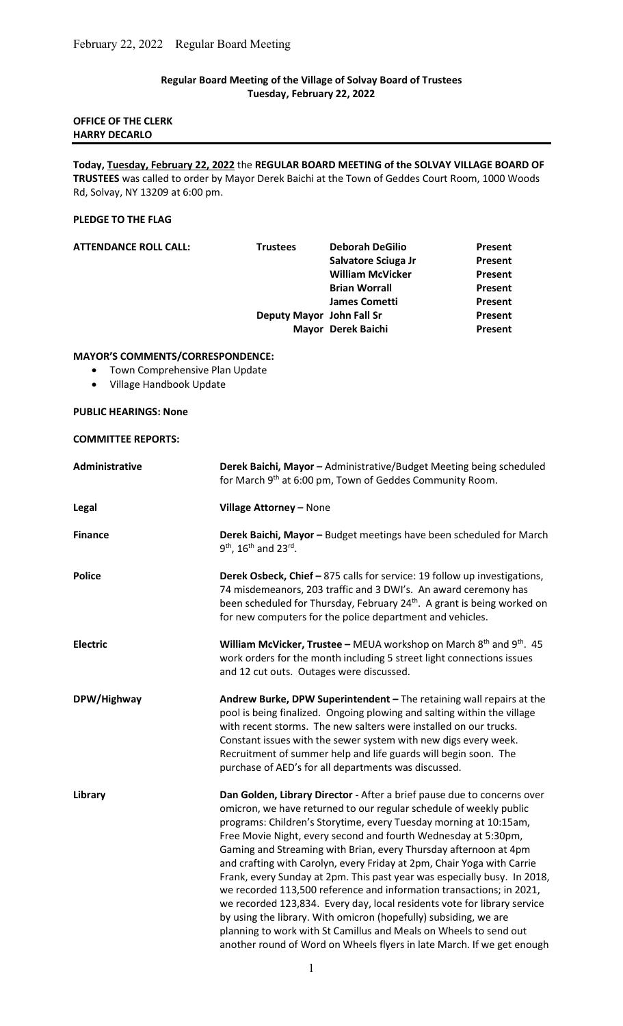# Regular Board Meeting of the Village of Solvay Board of Trustees Tuesday, February 22, 2022

# OFFICE OF THE CLERK HARRY DECARLO

Today, Tuesday, February 22, 2022 the REGULAR BOARD MEETING of the SOLVAY VILLAGE BOARD OF TRUSTEES was called to order by Mayor Derek Baichi at the Town of Geddes Court Room, 1000 Woods Rd, Solvay, NY 13209 at 6:00 pm.

#### PLEDGE TO THE FLAG

| <b>ATTENDANCE ROLL CALL:</b> | <b>Trustees</b>           | <b>Deborah DeGilio</b>  | Present |
|------------------------------|---------------------------|-------------------------|---------|
|                              |                           | Salvatore Sciuga Jr     | Present |
|                              |                           | <b>William McVicker</b> | Present |
|                              |                           | <b>Brian Worrall</b>    | Present |
|                              |                           | James Cometti           | Present |
|                              | Deputy Mayor John Fall Sr |                         | Present |
|                              |                           | Mayor Derek Baichi      | Present |
|                              |                           |                         |         |

### MAYOR'S COMMENTS/CORRESPONDENCE:

- Town Comprehensive Plan Update
- Village Handbook Update

# PUBLIC HEARINGS: None

COMMITTEE REPORTS:

| Administrative  | Derek Baichi, Mayor - Administrative/Budget Meeting being scheduled                                                                                                                                                                                                                                                                                                                                                                                                                                                                                                                                                                                                                                                                                                                                                                                                                   |
|-----------------|---------------------------------------------------------------------------------------------------------------------------------------------------------------------------------------------------------------------------------------------------------------------------------------------------------------------------------------------------------------------------------------------------------------------------------------------------------------------------------------------------------------------------------------------------------------------------------------------------------------------------------------------------------------------------------------------------------------------------------------------------------------------------------------------------------------------------------------------------------------------------------------|
|                 | for March 9th at 6:00 pm, Town of Geddes Community Room.                                                                                                                                                                                                                                                                                                                                                                                                                                                                                                                                                                                                                                                                                                                                                                                                                              |
| Legal           | Village Attorney - None                                                                                                                                                                                                                                                                                                                                                                                                                                                                                                                                                                                                                                                                                                                                                                                                                                                               |
| <b>Finance</b>  | Derek Baichi, Mayor - Budget meetings have been scheduled for March<br>9 <sup>th</sup> , 16 <sup>th</sup> and 23 <sup>rd</sup> .                                                                                                                                                                                                                                                                                                                                                                                                                                                                                                                                                                                                                                                                                                                                                      |
| <b>Police</b>   | Derek Osbeck, Chief - 875 calls for service: 19 follow up investigations,<br>74 misdemeanors, 203 traffic and 3 DWI's. An award ceremony has<br>been scheduled for Thursday, February 24 <sup>th</sup> . A grant is being worked on<br>for new computers for the police department and vehicles.                                                                                                                                                                                                                                                                                                                                                                                                                                                                                                                                                                                      |
| <b>Electric</b> | William McVicker, Trustee - MEUA workshop on March 8 <sup>th</sup> and 9 <sup>th</sup> . 45<br>work orders for the month including 5 street light connections issues<br>and 12 cut outs. Outages were discussed.                                                                                                                                                                                                                                                                                                                                                                                                                                                                                                                                                                                                                                                                      |
| DPW/Highway     | Andrew Burke, DPW Superintendent - The retaining wall repairs at the<br>pool is being finalized. Ongoing plowing and salting within the village<br>with recent storms. The new salters were installed on our trucks.<br>Constant issues with the sewer system with new digs every week.<br>Recruitment of summer help and life guards will begin soon. The<br>purchase of AED's for all departments was discussed.                                                                                                                                                                                                                                                                                                                                                                                                                                                                    |
| Library         | Dan Golden, Library Director - After a brief pause due to concerns over<br>omicron, we have returned to our regular schedule of weekly public<br>programs: Children's Storytime, every Tuesday morning at 10:15am,<br>Free Movie Night, every second and fourth Wednesday at 5:30pm,<br>Gaming and Streaming with Brian, every Thursday afternoon at 4pm<br>and crafting with Carolyn, every Friday at 2pm, Chair Yoga with Carrie<br>Frank, every Sunday at 2pm. This past year was especially busy. In 2018,<br>we recorded 113,500 reference and information transactions; in 2021,<br>we recorded 123,834. Every day, local residents vote for library service<br>by using the library. With omicron (hopefully) subsiding, we are<br>planning to work with St Camillus and Meals on Wheels to send out<br>another round of Word on Wheels flyers in late March. If we get enough |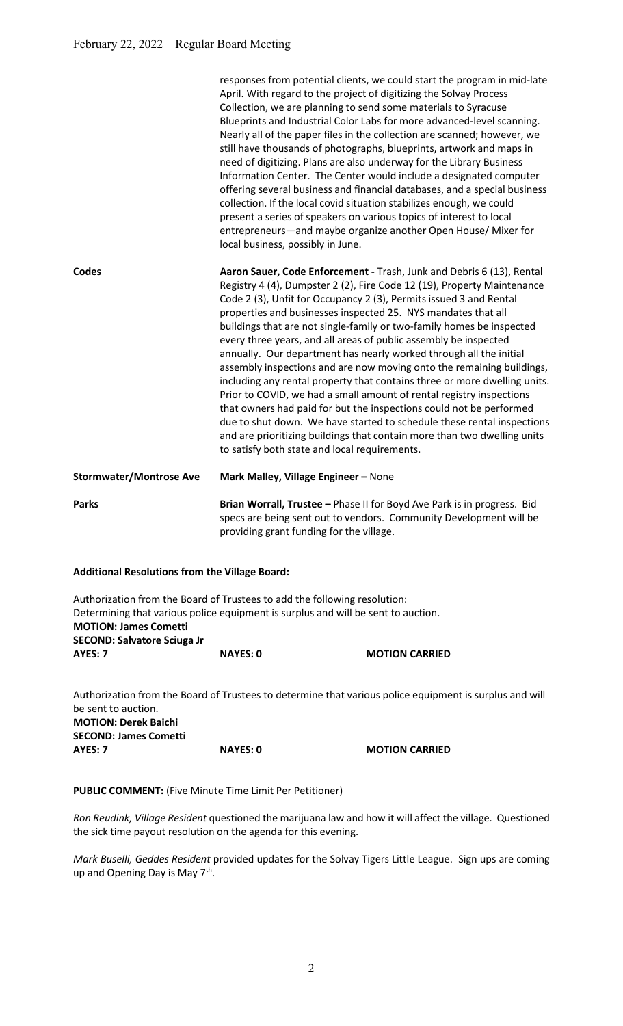|                                | responses from potential clients, we could start the program in mid-late<br>April. With regard to the project of digitizing the Solvay Process<br>Collection, we are planning to send some materials to Syracuse<br>Blueprints and Industrial Color Labs for more advanced-level scanning.<br>Nearly all of the paper files in the collection are scanned; however, we<br>still have thousands of photographs, blueprints, artwork and maps in<br>need of digitizing. Plans are also underway for the Library Business<br>Information Center. The Center would include a designated computer<br>offering several business and financial databases, and a special business<br>collection. If the local covid situation stabilizes enough, we could<br>present a series of speakers on various topics of interest to local<br>entrepreneurs-and maybe organize another Open House/ Mixer for<br>local business, possibly in June.                                                                                        |
|--------------------------------|------------------------------------------------------------------------------------------------------------------------------------------------------------------------------------------------------------------------------------------------------------------------------------------------------------------------------------------------------------------------------------------------------------------------------------------------------------------------------------------------------------------------------------------------------------------------------------------------------------------------------------------------------------------------------------------------------------------------------------------------------------------------------------------------------------------------------------------------------------------------------------------------------------------------------------------------------------------------------------------------------------------------|
| Codes                          | Aaron Sauer, Code Enforcement - Trash, Junk and Debris 6 (13), Rental<br>Registry 4 (4), Dumpster 2 (2), Fire Code 12 (19), Property Maintenance<br>Code 2 (3), Unfit for Occupancy 2 (3), Permits issued 3 and Rental<br>properties and businesses inspected 25. NYS mandates that all<br>buildings that are not single-family or two-family homes be inspected<br>every three years, and all areas of public assembly be inspected<br>annually. Our department has nearly worked through all the initial<br>assembly inspections and are now moving onto the remaining buildings,<br>including any rental property that contains three or more dwelling units.<br>Prior to COVID, we had a small amount of rental registry inspections<br>that owners had paid for but the inspections could not be performed<br>due to shut down. We have started to schedule these rental inspections<br>and are prioritizing buildings that contain more than two dwelling units<br>to satisfy both state and local requirements. |
| <b>Stormwater/Montrose Ave</b> | Mark Malley, Village Engineer - None                                                                                                                                                                                                                                                                                                                                                                                                                                                                                                                                                                                                                                                                                                                                                                                                                                                                                                                                                                                   |
| <b>Parks</b>                   | Brian Worrall, Trustee - Phase II for Boyd Ave Park is in progress. Bid<br>specs are being sent out to vendors. Community Development will be<br>providing grant funding for the village.                                                                                                                                                                                                                                                                                                                                                                                                                                                                                                                                                                                                                                                                                                                                                                                                                              |

## Additional Resolutions from the Village Board:

|                                     | Authorization from the Board of Trustees to add the following resolution:         |                       |
|-------------------------------------|-----------------------------------------------------------------------------------|-----------------------|
|                                     | Determining that various police equipment is surplus and will be sent to auction. |                       |
| <b>MOTION: James Cometti</b>        |                                                                                   |                       |
| <b>SECOND: Salvatore Sciuga Jr.</b> |                                                                                   |                       |
| AYES: 7                             | <b>NAYES: 0</b>                                                                   | <b>MOTION CARRIED</b> |

Authorization from the Board of Trustees to determine that various police equipment is surplus and will be sent to auction. MOTION: Derek Baichi SECOND: James Cometti AYES: 7 NAYES: 0 MOTION CARRIED

PUBLIC COMMENT: (Five Minute Time Limit Per Petitioner)

Ron Reudink, Village Resident questioned the marijuana law and how it will affect the village. Questioned the sick time payout resolution on the agenda for this evening.

Mark Buselli, Geddes Resident provided updates for the Solvay Tigers Little League. Sign ups are coming up and Opening Day is May 7<sup>th</sup>.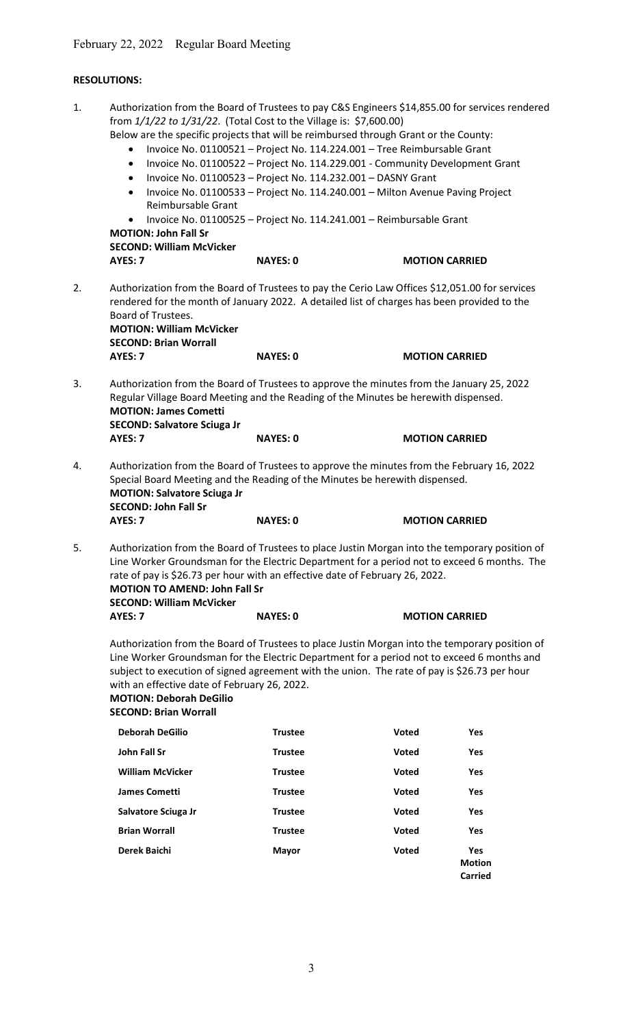### RESOLUTIONS:

1. Authorization from the Board of Trustees to pay C&S Engineers \$14,855.00 for services rendered from 1/1/22 to 1/31/22. (Total Cost to the Village is: \$7,600.00) Below are the specific projects that will be reimbursed through Grant or the County: Invoice No. 01100521 – Project No. 114.224.001 – Tree Reimbursable Grant • Invoice No. 01100522 - Project No. 114.229.001 - Community Development Grant  $\bullet$  Invoice No. 01100523 - Project No. 114.232.001 - DASNY Grant • Invoice No. 01100533 - Project No. 114.240.001 - Milton Avenue Paving Project Reimbursable Grant Invoice No. 01100525 – Project No. 114.241.001 – Reimbursable Grant MOTION: John Fall Sr

SECOND: William McVicker

| SELUNU. WIIIIdIII WLVILKEI |                 |  |
|----------------------------|-----------------|--|
| AYES: 7                    | <b>NAYES: 0</b> |  |

2. Authorization from the Board of Trustees to pay the Cerio Law Offices \$12,051.00 for services rendered for the month of January 2022. A detailed list of charges has been provided to the Board of Trustees. MOTION: William McVicker

**MOTION CARRIED** 

 SECOND: Brian Worrall AYES: 7 NAYES: 0 MOTION CARRIED

3. Authorization from the Board of Trustees to approve the minutes from the January 25, 2022 Regular Village Board Meeting and the Reading of the Minutes be herewith dispensed. MOTION: James Cometti SECOND: Salvatore Sciuga Jr AYES: 7 NAYES: 0 MOTION CARRIED

- 4. Authorization from the Board of Trustees to approve the minutes from the February 16, 2022 Special Board Meeting and the Reading of the Minutes be herewith dispensed. MOTION: Salvatore Sciuga Jr SECOND: John Fall Sr AYES: 7 NAYES: 0 MOTION CARRIED
- 5. Authorization from the Board of Trustees to place Justin Morgan into the temporary position of Line Worker Groundsman for the Electric Department for a period not to exceed 6 months. The rate of pay is \$26.73 per hour with an effective date of February 26, 2022. MOTION TO AMEND: John Fall Sr SECOND: William McVicker AYES: 7 NAYES: 0 MOTION CARRIED

 Authorization from the Board of Trustees to place Justin Morgan into the temporary position of Line Worker Groundsman for the Electric Department for a period not to exceed 6 months and subject to execution of signed agreement with the union. The rate of pay is \$26.73 per hour with an effective date of February 26, 2022.

#### MOTION: Deborah DeGilio SECOND: Brian Worrall

| <b>Deborah DeGilio</b>  | <b>Trustee</b> | <b>Voted</b> | Yes                                    |
|-------------------------|----------------|--------------|----------------------------------------|
| John Fall Sr            | <b>Trustee</b> | Voted        | Yes                                    |
| <b>William McVicker</b> | <b>Trustee</b> | <b>Voted</b> | <b>Yes</b>                             |
| <b>James Cometti</b>    | <b>Trustee</b> | Voted        | Yes                                    |
| Salvatore Sciuga Jr     | <b>Trustee</b> | <b>Voted</b> | Yes                                    |
| <b>Brian Worrall</b>    | <b>Trustee</b> | <b>Voted</b> | Yes                                    |
| Derek Baichi            | <b>Mayor</b>   | Voted        | <b>Yes</b><br><b>Motion</b><br>Carried |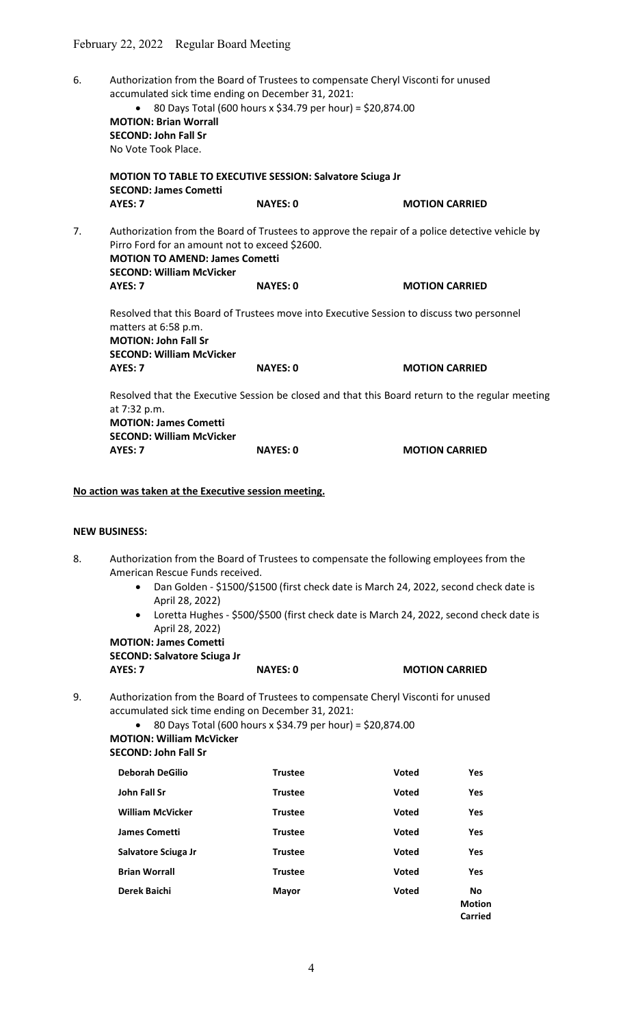6. Authorization from the Board of Trustees to compensate Cheryl Visconti for unused accumulated sick time ending on December 31, 2021: 80 Days Total (600 hours x \$34.79 per hour) = \$20,874.00 MOTION: Brian Worrall SECOND: John Fall Sr No Vote Took Place. MOTION TO TABLE TO EXECUTIVE SESSION: Salvatore Sciuga Jr SECOND: James Cometti AYES: 7 NAYES: 0 MOTION CARRIED 7. Authorization from the Board of Trustees to approve the repair of a police detective vehicle by Pirro Ford for an amount not to exceed \$2600. MOTION TO AMEND: James Cometti SECOND: William McVicker AYES: 7 NAYES: 0 MOTION CARRIED Resolved that this Board of Trustees move into Executive Session to discuss two personnel matters at 6:58 p.m. MOTION: John Fall Sr SECOND: William McVicker AYES: 7 NAYES: 0 MOTION CARRIED Resolved that the Executive Session be closed and that this Board return to the regular meeting at 7:32 p.m. MOTION: James Cometti SECOND: William McVicker AYES: 7 NAYES: 0 MOTION CARRIED

No action was taken at the Executive session meeting.

#### NEW BUSINESS:

- 8. Authorization from the Board of Trustees to compensate the following employees from the American Rescue Funds received.
	- Dan Golden \$1500/\$1500 (first check date is March 24, 2022, second check date is April 28, 2022)
	- Loretta Hughes \$500/\$500 (first check date is March 24, 2022, second check date is April 28, 2022)

# MOTION: James Cometti SECOND: Salvatore Sciuga Jr

AYES: 7 NAYES: 0 MOTION CARRIED

9. Authorization from the Board of Trustees to compensate Cheryl Visconti for unused accumulated sick time ending on December 31, 2021:

 $\bullet$  80 Days Total (600 hours x \$34.79 per hour) = \$20,874.00 MOTION: William McVicker

#### SECOND: John Fall Sr

| <b>Deborah DeGilio</b>  | <b>Trustee</b> | <b>Voted</b> | <b>Yes</b>                            |
|-------------------------|----------------|--------------|---------------------------------------|
| John Fall Sr            | <b>Trustee</b> | <b>Voted</b> | <b>Yes</b>                            |
| <b>William McVicker</b> | <b>Trustee</b> | <b>Voted</b> | Yes                                   |
| <b>James Cometti</b>    | <b>Trustee</b> | <b>Voted</b> | Yes                                   |
| Salvatore Sciuga Jr     | <b>Trustee</b> | <b>Voted</b> | <b>Yes</b>                            |
| <b>Brian Worrall</b>    | <b>Trustee</b> | <b>Voted</b> | Yes                                   |
| Derek Baichi            | <b>Mayor</b>   | <b>Voted</b> | <b>No</b><br><b>Motion</b><br>Carried |